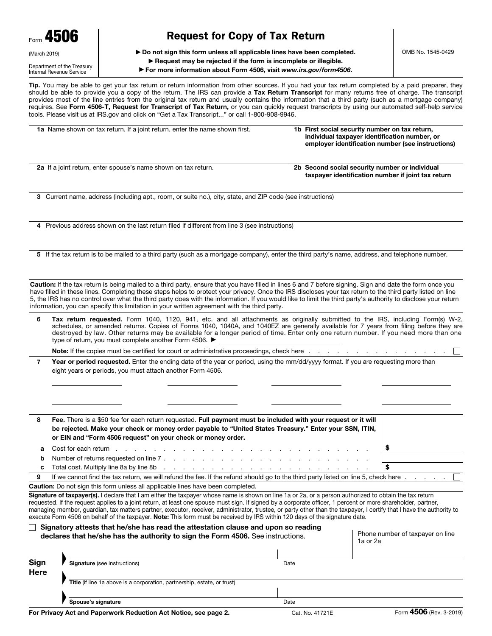| Form 4506    |  |
|--------------|--|
| (March 2019) |  |

# Request for Copy of Tax Return

▶ Do not sign this form unless all applicable lines have been completed.

Department of the Treasury Internal Revenue Service

## ▶ Request may be rejected if the form is incomplete or illegible.

▶ For more information about Form 4506, visit *www.irs.gov/form4506*.

Tip. You may be able to get your tax return or return information from other sources. If you had your tax return completed by a paid preparer, they should be able to provide you a copy of the return. The IRS can provide a Tax Return Transcript for many returns free of charge. The transcript provides most of the line entries from the original tax return and usually contains the information that a third party (such as a mortgage company) requires. See Form 4506-T, Request for Transcript of Tax Return, or you can quickly request transcripts by using our automated self-help service tools. Please visit us at IRS.gov and click on "Get a Tax Transcript..." or call 1-800-908-9946.

| <b>1a</b> Name shown on tax return. If a joint return, enter the name shown first. | 1b First social security number on tax return,<br>individual taxpayer identification number, or<br>employer identification number (see instructions) |
|------------------------------------------------------------------------------------|------------------------------------------------------------------------------------------------------------------------------------------------------|
| <b>2a</b> If a joint return, enter spouse's name shown on tax return.              | 2b Second social security number or individual<br>taxpayer identification number if joint tax return                                                 |

3 Current name, address (including apt., room, or suite no.), city, state, and ZIP code (see instructions)

4 Previous address shown on the last return filed if different from line 3 (see instructions)

5 If the tax return is to be mailed to a third party (such as a mortgage company), enter the third party's name, address, and telephone number.

Caution: If the tax return is being mailed to a third party, ensure that you have filled in lines 6 and 7 before signing. Sign and date the form once you have filled in these lines. Completing these steps helps to protect your privacy. Once the IRS discloses your tax return to the third party listed on line 5, the IRS has no control over what the third party does with the information. If you would like to limit the third party's authority to disclose your return information, you can specify this limitation in your written agreement with the third party.

| <b>Tax return requested.</b> Form 1040, 1120, 941, etc. and all attachments as originally submitted to the IRS, including Form(s) W-2, |
|----------------------------------------------------------------------------------------------------------------------------------------|
| schedules, or amended returns. Copies of Forms 1040, 1040A, and 1040EZ are generally available for 7 years from filing before they are |
| destroyed by law. Other returns may be available for a longer period of time. Enter only one return number. If you need more than one  |
| type of return, you must complete another Form 4506. ▶                                                                                 |

Note: If the copies must be certified for court or administrative proceedings, check here .

7 Year or period requested. Enter the ending date of the year or period, using the mm/dd/yyyy format. If you are requesting more than eight years or periods, you must attach another Form 4506.

| 8  | Fee. There is a \$50 fee for each return requested. Full payment must be included with your request or it will<br>be rejected. Make your check or money order payable to "United States Treasury." Enter your SSN, ITIN,<br>or EIN and "Form 4506 request" on your check or money order. |  |
|----|------------------------------------------------------------------------------------------------------------------------------------------------------------------------------------------------------------------------------------------------------------------------------------------|--|
| a  | Cost for each return $\ldots$ $\ldots$ $\ldots$ $\ldots$ $\ldots$ $\ldots$ $\ldots$ $\ldots$ $\ldots$ $\ldots$ $\ldots$ $\ldots$                                                                                                                                                         |  |
| b. |                                                                                                                                                                                                                                                                                          |  |
| C. |                                                                                                                                                                                                                                                                                          |  |
| 9  | If we cannot find the tax return, we will refund the fee. If the refund should go to the third party listed on line 5, check here $\ldots$ $\ldots$                                                                                                                                      |  |

Caution: Do not sign this form unless all applicable lines have been completed.

Signature of taxpayer(s). I declare that I am either the taxpayer whose name is shown on line 1a or 2a, or a person authorized to obtain the tax return requested. If the request applies to a joint return, at least one spouse must sign. If signed by a corporate officer, 1 percent or more shareholder, partner, managing member, guardian, tax matters partner, executor, receiver, administrator, trustee, or party other than the taxpayer, I certify that I have the authority to execute Form 4506 on behalf of the taxpayer. Note: This form must be received by IRS within 120 days of the signature date.

#### $\Box$  Signatory attests that he/she has read the attestation clause and upon so reading declares that he/she has the authority to sign the Form 4506. See instructions.

| Phone number of taxpayer on line |  |
|----------------------------------|--|
| 1a or 2a                         |  |

| Sign                                                                     | <b>Signature</b> (see instructions) | Date |  |
|--------------------------------------------------------------------------|-------------------------------------|------|--|
| Here                                                                     |                                     |      |  |
| Title (if line 1a above is a corporation, partnership, estate, or trust) |                                     |      |  |
|                                                                          |                                     |      |  |
|                                                                          | Spouse's signature                  | Date |  |

 $\overline{\phantom{a}}$ 

 $\mathbf{L}$